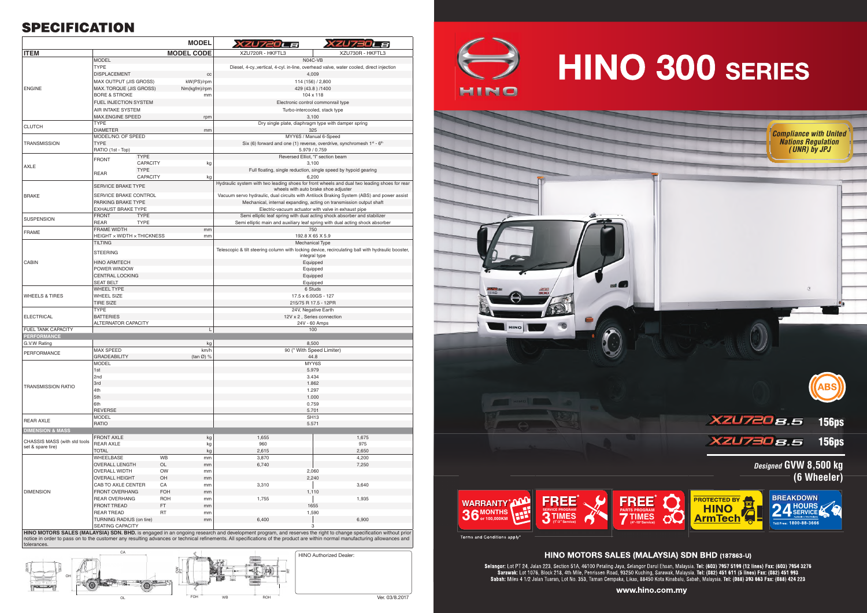# **SPECIFICATION**

|                                   |                                              |                                         | <b>MODEL</b>                                                                            | XZU720LB                                                                                                                                                         | XZU730LB                                                                                                                             |  |
|-----------------------------------|----------------------------------------------|-----------------------------------------|-----------------------------------------------------------------------------------------|------------------------------------------------------------------------------------------------------------------------------------------------------------------|--------------------------------------------------------------------------------------------------------------------------------------|--|
| <b>ITEM</b>                       |                                              |                                         | <b>MODEL CODE</b>                                                                       | XZU720R - HKFTL3                                                                                                                                                 | XZU730R - HKFTL3                                                                                                                     |  |
|                                   | <b>MODEL</b>                                 |                                         |                                                                                         |                                                                                                                                                                  | N04C-VB                                                                                                                              |  |
|                                   | <b>TYPE</b>                                  |                                         | Diesel, 4-cy., vertical, 4-cyl. in-line, overhead valve, water cooled, direct injection |                                                                                                                                                                  |                                                                                                                                      |  |
|                                   | <b>DISPLACEMENT</b>                          |                                         | cc                                                                                      | 4,009                                                                                                                                                            |                                                                                                                                      |  |
| <b>ENGINE</b>                     |                                              | kW(PS)/rpm<br>MAX OUTPUT (JIS GROSS)    |                                                                                         | 114 (156) / 2,800                                                                                                                                                |                                                                                                                                      |  |
|                                   |                                              | MAX. TORQUE (JIS GROSS)<br>Nm(kgfm)/rpm |                                                                                         | 429 (43.8) /1400                                                                                                                                                 |                                                                                                                                      |  |
|                                   | <b>BORE &amp; STROKE</b>                     | mm                                      |                                                                                         | 104 x 118                                                                                                                                                        |                                                                                                                                      |  |
|                                   | FUEL INJECTION SYSTEM                        |                                         | Electronic control commonrail type                                                      |                                                                                                                                                                  |                                                                                                                                      |  |
|                                   | AIR INTAKE SYSTEM                            |                                         | Turbo-intercooled, stack type                                                           |                                                                                                                                                                  |                                                                                                                                      |  |
|                                   | MAX.ENGINE SPEED                             |                                         | rpm                                                                                     | 3,100                                                                                                                                                            |                                                                                                                                      |  |
|                                   | <b>TYPE</b>                                  |                                         |                                                                                         |                                                                                                                                                                  | Dry single plate, diaphragm type with damper spring                                                                                  |  |
| <b>CLUTCH</b>                     | <b>DIAMETER</b>                              |                                         | mm                                                                                      |                                                                                                                                                                  | 325                                                                                                                                  |  |
|                                   | MODEL/NO. OF SPEED                           |                                         |                                                                                         |                                                                                                                                                                  | MYY6S / Manual 6-Speed                                                                                                               |  |
| <b>TRANSMISSION</b>               | <b>TYPE</b>                                  |                                         |                                                                                         | Six (6) forward and one (1) reverse, overdrive, synchromesh 1 <sup>st</sup> - 6 <sup>th</sup>                                                                    |                                                                                                                                      |  |
|                                   | RATIO (1st - Top)                            |                                         |                                                                                         | 5.979 / 0.759                                                                                                                                                    |                                                                                                                                      |  |
| <b>AXLE</b>                       | <b>FRONT</b>                                 | <b>TYPE</b>                             |                                                                                         |                                                                                                                                                                  | Reversed Elliot, "I" section beam                                                                                                    |  |
|                                   |                                              | <b>CAPACITY</b>                         | kg                                                                                      |                                                                                                                                                                  | 3,100                                                                                                                                |  |
|                                   | REAR                                         | <b>TYPE</b>                             |                                                                                         | Full floating, single reduction, single speed by hypoid gearing                                                                                                  |                                                                                                                                      |  |
|                                   |                                              | <b>CAPACITY</b>                         | kg                                                                                      | 6,200                                                                                                                                                            |                                                                                                                                      |  |
|                                   | SERVICE BRAKE TYPE                           |                                         |                                                                                         |                                                                                                                                                                  | Hydraulic system with two leading shoes for front wheels and dual two leading shoes for rear<br>wheels with auto brake shoe adjuster |  |
|                                   | SERVICE BRAKE CONTROL                        |                                         |                                                                                         |                                                                                                                                                                  |                                                                                                                                      |  |
| <b>BRAKE</b><br><b>SUSPENSION</b> | PARKING BRAKE TYPE                           |                                         |                                                                                         | Vacuum servo hydraulic, dual circuits with Antilock Braking System (ABS) and power assist<br>Mechanical, internal expanding, acting on transmission output shaft |                                                                                                                                      |  |
|                                   | <b>EXHAUST BRAKE TYPE</b>                    |                                         | Electric-vacuum actuator with valve in exhaust pipe                                     |                                                                                                                                                                  |                                                                                                                                      |  |
|                                   | <b>FRONT</b><br><b>TYPE</b>                  |                                         | Semi elliptic leaf spring with dual acting shock absorber and stabilizer                |                                                                                                                                                                  |                                                                                                                                      |  |
|                                   | REAR                                         | <b>TYPE</b>                             |                                                                                         |                                                                                                                                                                  | Semi elliptic main and auxiliary leaf spring with dual acting shock absorber                                                         |  |
|                                   | <b>FRAME WIDTH</b>                           |                                         | mm                                                                                      |                                                                                                                                                                  | 750                                                                                                                                  |  |
| <b>FRAME</b>                      | HEIGHT x WIDTH x THICKNESS                   |                                         | mm                                                                                      |                                                                                                                                                                  | 192.8 X 65 X 5.9                                                                                                                     |  |
|                                   | <b>TILTING</b>                               |                                         |                                                                                         |                                                                                                                                                                  | Mechanical Type                                                                                                                      |  |
| <b>CABIN</b>                      | <b>STEERING</b>                              |                                         |                                                                                         |                                                                                                                                                                  | Telescopic & tilt steering column with locking device, recirculating ball with hydraulic booster,<br>integral type                   |  |
|                                   | <b>HINO ARMTECH</b>                          |                                         |                                                                                         |                                                                                                                                                                  | Equipped                                                                                                                             |  |
|                                   | POWER WINDOW                                 |                                         |                                                                                         |                                                                                                                                                                  | Equipped                                                                                                                             |  |
|                                   | <b>CENTRAL LOCKING</b>                       |                                         |                                                                                         | Equipped                                                                                                                                                         |                                                                                                                                      |  |
|                                   | <b>SEAT BELT</b>                             |                                         |                                                                                         |                                                                                                                                                                  | Equipped                                                                                                                             |  |
| <b>WHEELS &amp; TIRES</b>         | <b>WHEEL TYPE</b>                            |                                         |                                                                                         |                                                                                                                                                                  | 6 Studs                                                                                                                              |  |
|                                   | <b>WHEEL SIZE</b>                            |                                         | 17.5 x 6.00GS - 127                                                                     |                                                                                                                                                                  |                                                                                                                                      |  |
|                                   | <b>TIRE SIZE</b>                             |                                         |                                                                                         |                                                                                                                                                                  | 215/75 R 17.5 - 12PR                                                                                                                 |  |
| <b>ELECTRICAL</b>                 | <b>TYPE</b>                                  |                                         |                                                                                         |                                                                                                                                                                  | 24V, Negative Earth                                                                                                                  |  |
|                                   | <b>BATTERIES</b>                             |                                         |                                                                                         | 12V x 2, Series connection                                                                                                                                       |                                                                                                                                      |  |
|                                   | <b>ALTERNATOR CAPACITY</b>                   |                                         | 24V - 60 Amps                                                                           |                                                                                                                                                                  |                                                                                                                                      |  |
| <b>FUEL TANK CAPACITY</b>         |                                              |                                         | L                                                                                       |                                                                                                                                                                  | 100                                                                                                                                  |  |
|                                   |                                              |                                         |                                                                                         |                                                                                                                                                                  |                                                                                                                                      |  |
| <b>PERFORMANCE</b>                |                                              |                                         |                                                                                         |                                                                                                                                                                  |                                                                                                                                      |  |
| G.V.W Rating                      |                                              |                                         | kg                                                                                      |                                                                                                                                                                  | 8,500                                                                                                                                |  |
| <b>PERFORMANCE</b>                | <b>MAX SPEED</b>                             |                                         | km/h                                                                                    |                                                                                                                                                                  | 90 (* With Speed Limiter)                                                                                                            |  |
|                                   | <b>GRADEABILITY</b>                          |                                         | $(\tan \emptyset)$ %                                                                    |                                                                                                                                                                  | 44.8                                                                                                                                 |  |
|                                   | <b>MODEL</b>                                 |                                         |                                                                                         |                                                                                                                                                                  | MYY6S                                                                                                                                |  |
|                                   | 1st                                          |                                         |                                                                                         |                                                                                                                                                                  | 5.979                                                                                                                                |  |
|                                   | 2nd                                          |                                         |                                                                                         |                                                                                                                                                                  | 3.434                                                                                                                                |  |
| <b>TRANSMISSION RATIO</b>         | 3rd<br>4th                                   |                                         |                                                                                         |                                                                                                                                                                  | 1.862<br>1.297                                                                                                                       |  |
|                                   |                                              |                                         |                                                                                         |                                                                                                                                                                  |                                                                                                                                      |  |
|                                   | 5th<br>6th                                   |                                         |                                                                                         |                                                                                                                                                                  | 1.000<br>0.759                                                                                                                       |  |
|                                   | <b>REVERSE</b>                               |                                         |                                                                                         |                                                                                                                                                                  | 5.701                                                                                                                                |  |
|                                   | <b>MODEL</b>                                 |                                         |                                                                                         |                                                                                                                                                                  | <b>SH13</b>                                                                                                                          |  |
| <b>REAR AXLE</b>                  | <b>RATIO</b>                                 |                                         |                                                                                         |                                                                                                                                                                  | 5.571                                                                                                                                |  |
| <b>DIMENSION &amp; MASS</b>       |                                              |                                         |                                                                                         |                                                                                                                                                                  |                                                                                                                                      |  |
|                                   | <b>FRONT AXLE</b>                            |                                         | kg                                                                                      | 1,655                                                                                                                                                            | 1,675                                                                                                                                |  |
| CHASSIS MASS (with std tools      | <b>REAR AXLE</b>                             |                                         | kg                                                                                      | 960                                                                                                                                                              | 975                                                                                                                                  |  |
| set & spare tire)                 | <b>TOTAL</b>                                 |                                         | kg                                                                                      | 2,615                                                                                                                                                            | 2,650                                                                                                                                |  |
|                                   | WHEELBASE                                    | WB                                      | mm                                                                                      | 3,870                                                                                                                                                            | 4,200                                                                                                                                |  |
|                                   | <b>OVERALL LENGTH</b>                        | OL                                      | mm                                                                                      | 6,740                                                                                                                                                            | 7,250                                                                                                                                |  |
|                                   | <b>OVERALL WIDTH</b>                         | <b>OW</b>                               | mm                                                                                      |                                                                                                                                                                  | 2,060                                                                                                                                |  |
|                                   | <b>OVERALL HEIGHT</b>                        | OH                                      | mm                                                                                      |                                                                                                                                                                  | 2,240                                                                                                                                |  |
|                                   | CAB TO AXLE CENTER                           | CA                                      | mm                                                                                      | 3,310                                                                                                                                                            | 3,640                                                                                                                                |  |
| <b>DIMENSION</b>                  | <b>FRONT OVERHANG</b>                        | <b>FOH</b>                              | mm                                                                                      |                                                                                                                                                                  | 1,110                                                                                                                                |  |
|                                   | <b>REAR OVERHANG</b>                         | <b>ROH</b>                              | mm                                                                                      | 1,755                                                                                                                                                            | 1,935                                                                                                                                |  |
|                                   | <b>FRONT TREAD</b>                           | FT.                                     | mm                                                                                      |                                                                                                                                                                  | 1655                                                                                                                                 |  |
|                                   | <b>REAR TREAD</b>                            | <b>RT</b>                               | mm                                                                                      |                                                                                                                                                                  | 1,590                                                                                                                                |  |
|                                   | TURNING RADIUS (on tire)<br>SEATING CAPACITY |                                         | mm                                                                                      | 6,400                                                                                                                                                            | 6,900<br>3                                                                                                                           |  |





Terms and Conditions apply\*

## HINO MOTORS SALES (MALAYSIA) SDN BHD (187863-U)

Selangor: Lot PT 24, Jalan 223, Section 51A, 46100 Petaling Jaya, Selangor Darul Ehsan, Malaysia. **Tel: (603) 7957 5199 (12 lines) Fax: (603) 7954 3276**<br>Sarawak: Lot 1076, Block 218, 4th Mile, Penrissen Road, 93250 Kuching

#### www.hino.com.my

tolerances. **HINO Authorized Dealer: is engaged in an ongoing reserves the right of right of right to change specification**  $\sqrt{q^2 + q^2}$  and  $\sqrt{q^2 + q^2}$  refinements. All specifications of the product are within  $q$ manufacturing allowances and tolerances. WB ROH OW  $\boxdot$ FOH CA  $\cap$ OH RT

Ver. 03/8.2017